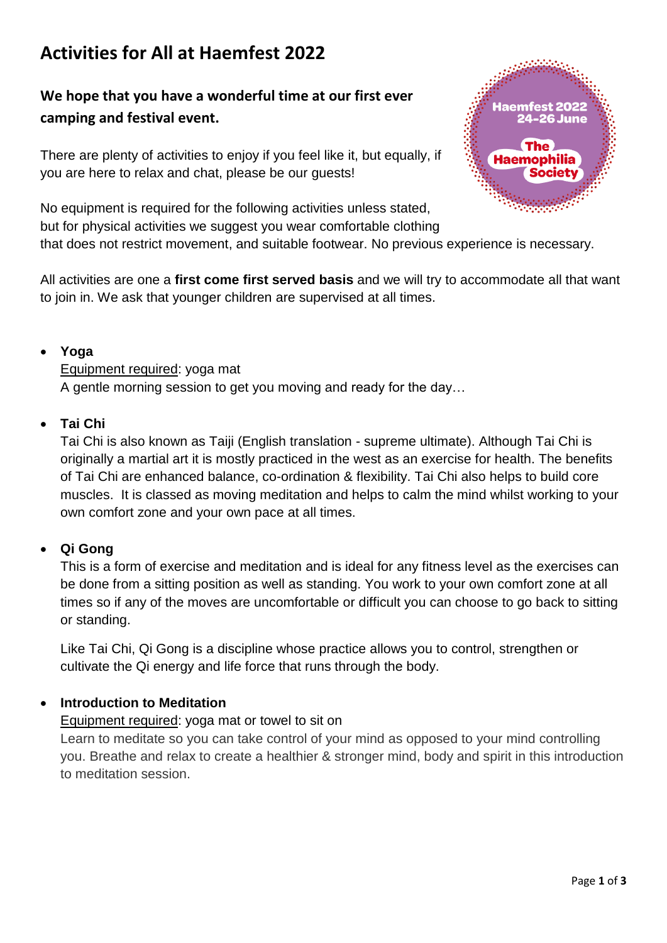# **Activities for All at Haemfest 2022**

# **We hope that you have a wonderful time at our first ever camping and festival event.**

There are plenty of activities to enjoy if you feel like it, but equally, if you are here to relax and chat, please be our guests!



No equipment is required for the following activities unless stated, but for physical activities we suggest you wear comfortable clothing that does not restrict movement, and suitable footwear. No previous experience is necessary.

All activities are one a **first come first served basis** and we will try to accommodate all that want to join in. We ask that younger children are supervised at all times.

## **Yoga**

Equipment required: yoga mat A gentle morning session to get you moving and ready for the day…

## **Tai Chi**

Tai Chi is also known as Taiji (English translation - supreme ultimate). Although Tai Chi is originally a martial art it is mostly practiced in the west as an exercise for health. The benefits of Tai Chi are enhanced balance, co-ordination & flexibility. Tai Chi also helps to build core muscles. It is classed as moving meditation and helps to calm the mind whilst working to your own comfort zone and your own pace at all times.

# **Qi Gong**

This is a form of exercise and meditation and is ideal for any fitness level as the exercises can be done from a sitting position as well as standing. You work to your own comfort zone at all times so if any of the moves are uncomfortable or difficult you can choose to go back to sitting or standing.

Like Tai Chi, Qi Gong is a discipline whose practice allows you to control, strengthen or cultivate the Qi energy and life force that runs through the body.

# **Introduction to Meditation**

#### Equipment required: yoga mat or towel to sit on

Learn to meditate so you can take control of your mind as opposed to your mind controlling you. Breathe and relax to create a healthier & stronger mind, body and spirit in this introduction to meditation session.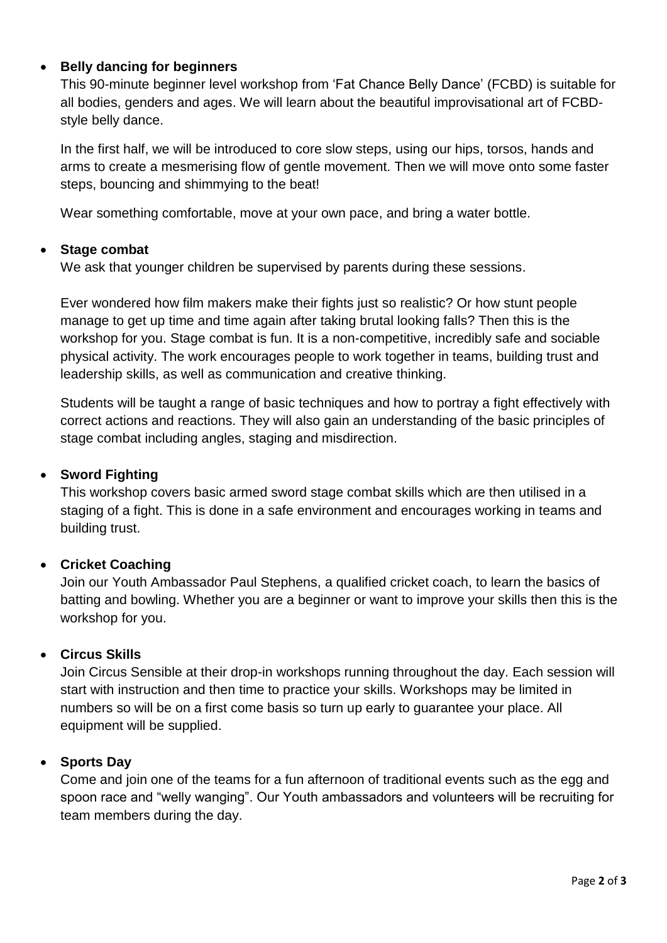# **Belly dancing for beginners**

This 90-minute beginner level workshop from 'Fat Chance Belly Dance' (FCBD) is suitable for all bodies, genders and ages. We will learn about the beautiful improvisational art of FCBDstyle belly dance.

In the first half, we will be introduced to core slow steps, using our hips, torsos, hands and arms to create a mesmerising flow of gentle movement. Then we will move onto some faster steps, bouncing and shimmying to the beat!

Wear something comfortable, move at your own pace, and bring a water bottle.

#### **Stage combat**

We ask that younger children be supervised by parents during these sessions.

Ever wondered how film makers make their fights just so realistic? Or how stunt people manage to get up time and time again after taking brutal looking falls? Then this is the workshop for you. Stage combat is fun. It is a non-competitive, incredibly safe and sociable physical activity. The work encourages people to work together in teams, building trust and leadership skills, as well as communication and creative thinking.

Students will be taught a range of basic techniques and how to portray a fight effectively with correct actions and reactions. They will also gain an understanding of the basic principles of stage combat including angles, staging and misdirection.

#### **Sword Fighting**

This workshop covers basic armed sword stage combat skills which are then utilised in a staging of a fight. This is done in a safe environment and encourages working in teams and building trust.

#### **Cricket Coaching**

Join our Youth Ambassador Paul Stephens, a qualified cricket coach, to learn the basics of batting and bowling. Whether you are a beginner or want to improve your skills then this is the workshop for you.

#### **Circus Skills**

Join Circus Sensible at their drop-in workshops running throughout the day. Each session will start with instruction and then time to practice your skills. Workshops may be limited in numbers so will be on a first come basis so turn up early to guarantee your place. All equipment will be supplied.

#### **Sports Day**

Come and join one of the teams for a fun afternoon of traditional events such as the egg and spoon race and "welly wanging". Our Youth ambassadors and volunteers will be recruiting for team members during the day.